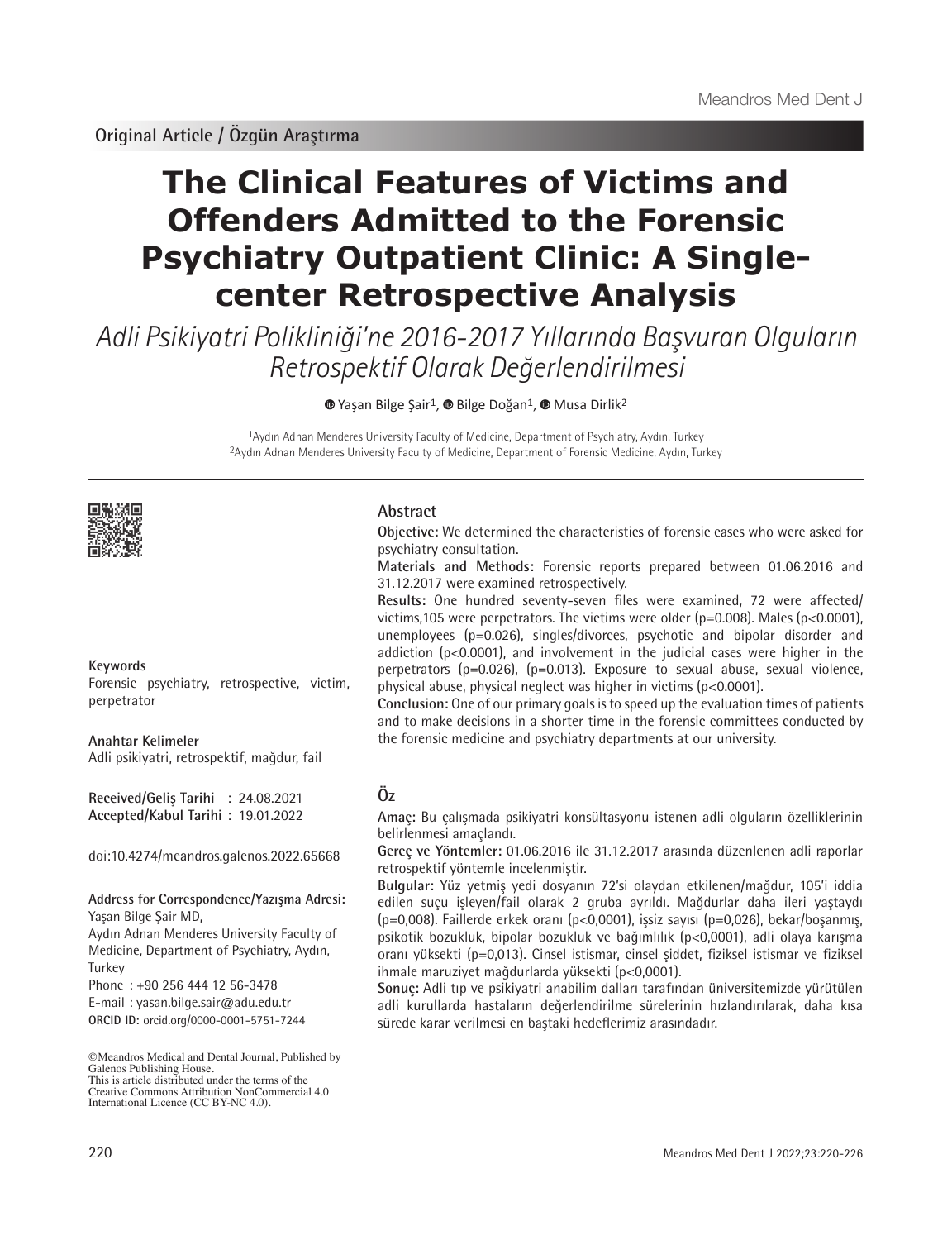**Original Article / Özgün Araştırma**

# **The Clinical Features of Victims and Offenders Admitted to the Forensic Psychiatry Outpatient Clinic: A Singlecenter Retrospective Analysis**

Adli Psikiyatri Polikliniği'ne 2016-2017 Yıllarında Başvuran Olguların Retrospektif Olarak Değerlendirilmesi

<sup>■</sup>Yaşan Bilge Şair<sup>1</sup>, <sup>■</sup> Bilge Doğan<sup>1</sup>, ■ Musa Dirlik<sup>2</sup>

1Aydın Adnan Menderes University Faculty of Medicine, Department of Psychiatry, Aydın, Turkey 2Aydın Adnan Menderes University Faculty of Medicine, Department of Forensic Medicine, Aydın, Turkey



# **Keywords**

Forensic psychiatry, retrospective, victim, perpetrator

**Anahtar Kelimeler** Adli psikiyatri, retrospektif, mağdur, fail

**Received/Geliş Tarihi** : 24.08.2021 **Accepted/Kabul Tarihi** : 19.01.2022

doi:10.4274/meandros.galenos.2022.65668

# **Address for Correspondence/Yazışma Adresi:**

Yaşan Bilge Şair MD, Aydın Adnan Menderes University Faculty of Medicine, Department of Psychiatry, Aydın, **Turkey** 

Phone : +90 256 444 12 56-3478

E-mail : yasan.bilge.sair@adu.edu.tr

**ORCID ID:** orcid.org/0000-0001-5751-7244

©Meandros Medical and Dental Journal, Published by Galenos Publishing House. This is article distributed under the terms of the

Creative Commons Attribution NonCommercial 4.0 International Licence (CC BY-NC 4.0).

# **Abstract**

**Objective:** We determined the characteristics of forensic cases who were asked for psychiatry consultation.

**Materials and Methods:** Forensic reports prepared between 01.06.2016 and 31.12.2017 were examined retrospectively.

**Results:** One hundred seventy-seven files were examined, 72 were affected/ victims, 105 were perpetrators. The victims were older (p=0.008). Males (p<0.0001), unemployees (p=0.026), singles/divorces, psychotic and bipolar disorder and addiction (p<0.0001), and involvement in the judicial cases were higher in the perpetrators (p=0.026), (p=0.013). Exposure to sexual abuse, sexual violence, physical abuse, physical neglect was higher in victims (p<0.0001).

**Conclusion:** One of our primary goals is to speed up the evaluation times of patients and to make decisions in a shorter time in the forensic committees conducted by the forensic medicine and psychiatry departments at our university.

# **Öz**

**Amaç:** Bu çalışmada psikiyatri konsültasyonu istenen adli olguların özelliklerinin belirlenmesi amaçlandı.

**Gereç ve Yöntemler:** 01.06.2016 ile 31.12.2017 arasında düzenlenen adli raporlar retrospektif yöntemle incelenmiştir.

**Bulgular:** Yüz yetmiş yedi dosyanın 72'si olaydan etkilenen/mağdur, 105'i iddia edilen suçu işleyen/fail olarak 2 gruba ayrıldı. Mağdurlar daha ileri yaştaydı (p=0,008). Faillerde erkek oranı (p<0,0001), işsiz sayısı (p=0,026), bekar/boşanmış, psikotik bozukluk, bipolar bozukluk ve bağımlılık (p<0,0001), adli olaya karışma oranı yüksekti (p=0,013). Cinsel istismar, cinsel şiddet, fiziksel istismar ve fiziksel ihmale maruziyet mağdurlarda yüksekti (p<0,0001).

**Sonuç:** Adli tıp ve psikiyatri anabilim dalları tarafından üniversitemizde yürütülen adli kurullarda hastaların değerlendirilme sürelerinin hızlandırılarak, daha kısa sürede karar verilmesi en baştaki hedeflerimiz arasındadır.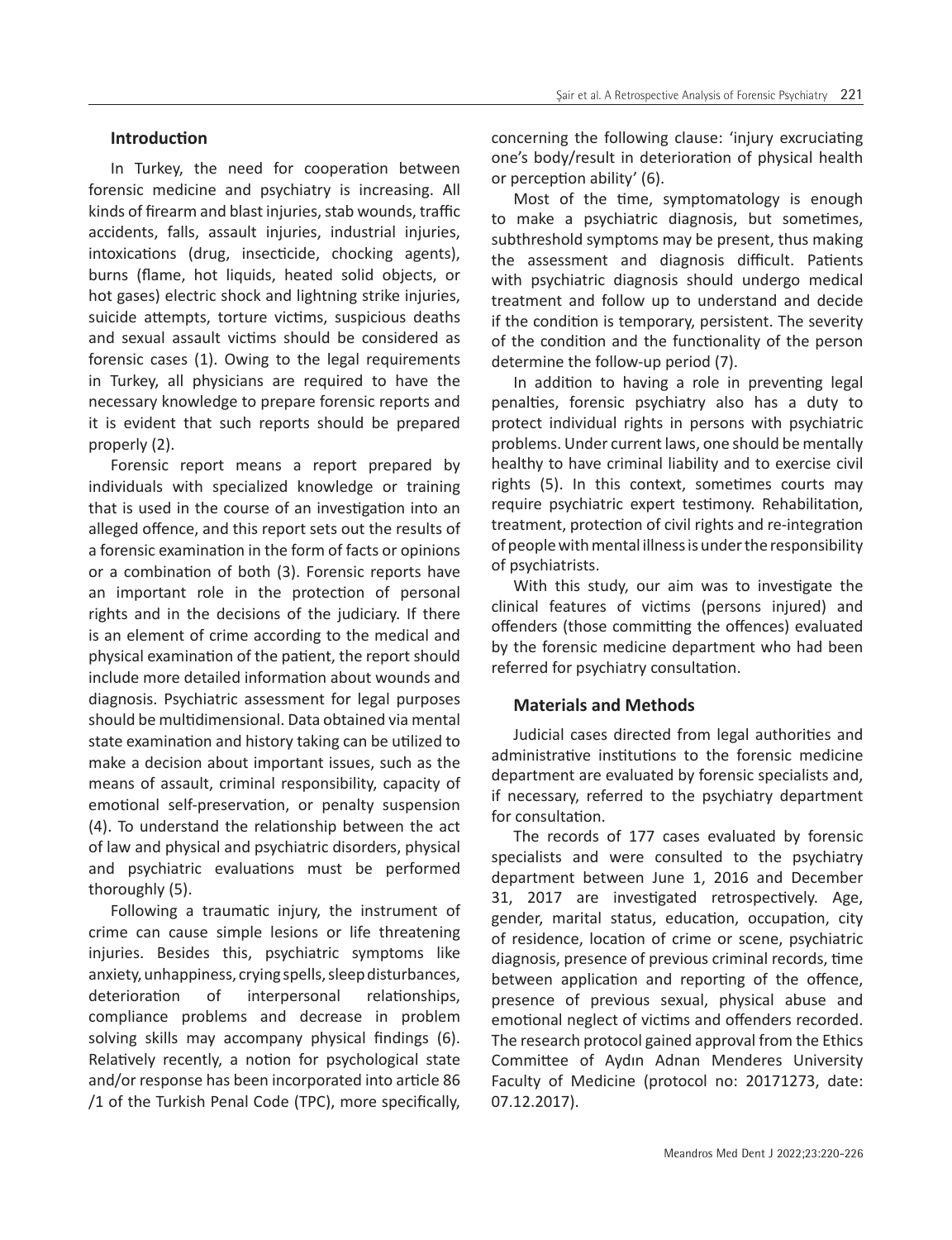# **Introduction**

In Turkey, the need for cooperation between forensic medicine and psychiatry is increasing. All kinds of firearm and blast injuries, stab wounds, traffic accidents, falls, assault injuries, industrial injuries, intoxications (drug, insecticide, chocking agents), burns (flame, hot liquids, heated solid objects, or hot gases) electric shock and lightning strike injuries, suicide attempts, torture victims, suspicious deaths and sexual assault victims should be considered as forensic cases (1). Owing to the legal requirements in Turkey, all physicians are required to have the necessary knowledge to prepare forensic reports and it is evident that such reports should be prepared properly (2).

Forensic report means a report prepared by individuals with specialized knowledge or training that is used in the course of an investigation into an alleged offence, and this report sets out the results of a forensic examination in the form of facts or opinions or a combination of both (3). Forensic reports have an important role in the protection of personal rights and in the decisions of the judiciary. If there is an element of crime according to the medical and physical examination of the patient, the report should include more detailed information about wounds and diagnosis. Psychiatric assessment for legal purposes should be multidimensional. Data obtained via mental state examination and history taking can be utilized to make a decision about important issues, such as the means of assault, criminal responsibility, capacity of emotional self-preservation, or penalty suspension (4). To understand the relationship between the act of law and physical and psychiatric disorders, physical and psychiatric evaluations must be performed thoroughly (5).

Following a traumatic injury, the instrument of crime can cause simple lesions or life threatening injuries. Besides this, psychiatric symptoms like anxiety, unhappiness, crying spells, sleep disturbances, deterioration of interpersonal relationships, compliance problems and decrease in problem solving skills may accompany physical findings (6). Relatively recently, a notion for psychological state and/or response has been incorporated into article 86 /1 of the Turkish Penal Code (TPC), more specifically,

concerning the following clause: 'injury excruciating one's body/result in deterioration of physical health or perception ability' (6).

Most of the time, symptomatology is enough to make a psychiatric diagnosis, but sometimes, subthreshold symptoms may be present, thus making the assessment and diagnosis difficult. Patients with psychiatric diagnosis should undergo medical treatment and follow up to understand and decide if the condition is temporary, persistent. The severity of the condition and the functionality of the person determine the follow-up period (7).

In addition to having a role in preventing legal penalties, forensic psychiatry also has a duty to protect individual rights in persons with psychiatric problems. Under current laws, one should be mentally healthy to have criminal liability and to exercise civil rights (5). In this context, sometimes courts may require psychiatric expert testimony. Rehabilitation, treatment, protection of civil rights and re-integration of people with mental illness is under the responsibility of psychiatrists.

With this study, our aim was to investigate the clinical features of victims (persons injured) and offenders (those committing the offences) evaluated by the forensic medicine department who had been referred for psychiatry consultation.

# **Materials and Methods**

Judicial cases directed from legal authorities and administrative institutions to the forensic medicine department are evaluated by forensic specialists and, if necessary, referred to the psychiatry department for consultation.

The records of 177 cases evaluated by forensic specialists and were consulted to the psychiatry department between June 1, 2016 and December 31, 2017 are investigated retrospectively. Age, gender, marital status, education, occupation, city of residence, location of crime or scene, psychiatric diagnosis, presence of previous criminal records, time between application and reporting of the offence, presence of previous sexual, physical abuse and emotional neglect of victims and offenders recorded. The research protocol gained approval from the Ethics Committee of Aydın Adnan Menderes University Faculty of Medicine (protocol no: 20171273, date: 07.12.2017).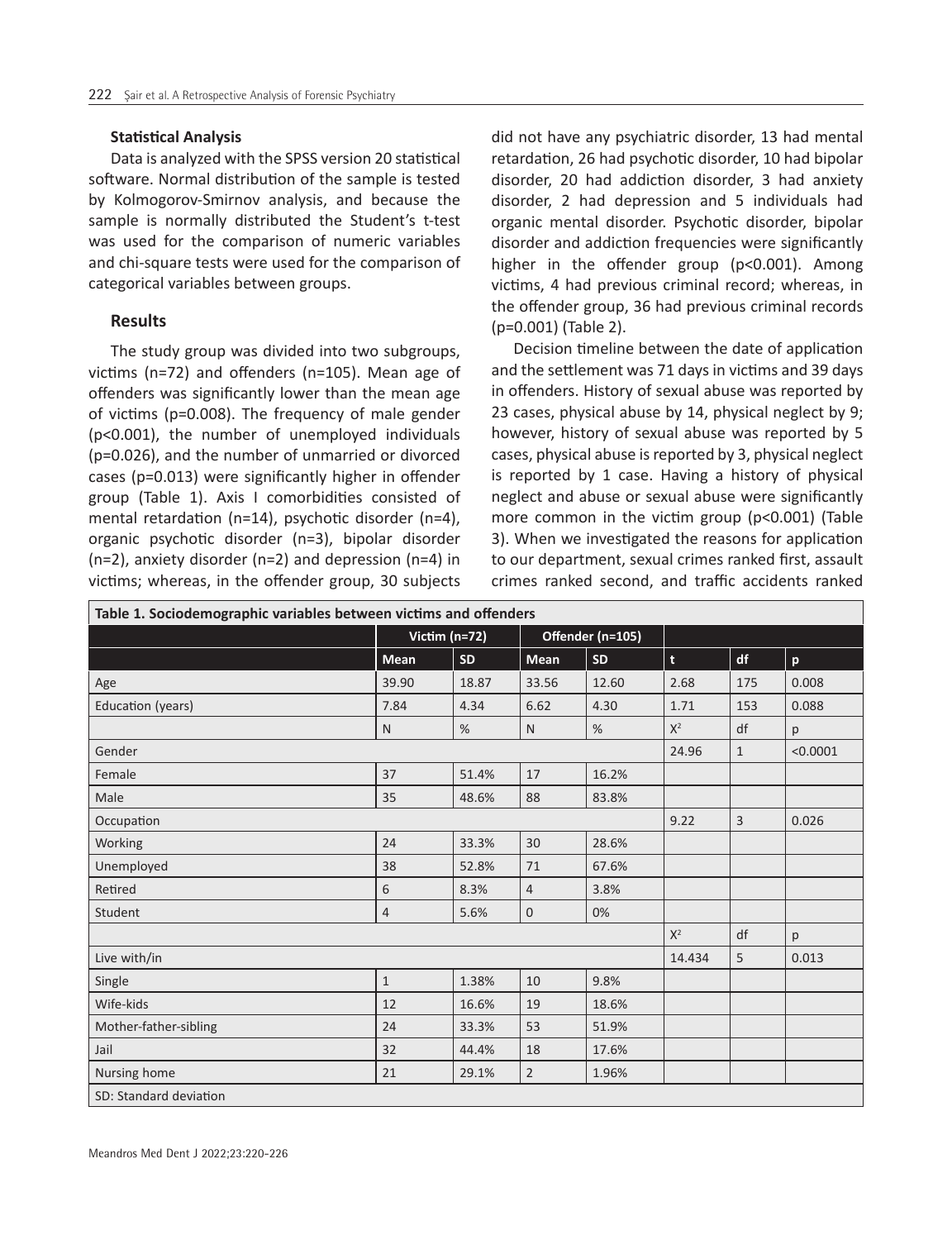#### **Statistical Analysis**

Data is analyzed with the SPSS version 20 statistical software. Normal distribution of the sample is tested by Kolmogorov-Smirnov analysis, and because the sample is normally distributed the Student's t-test was used for the comparison of numeric variables and chi-square tests were used for the comparison of categorical variables between groups.

## **Results**

The study group was divided into two subgroups, victims (n=72) and offenders (n=105). Mean age of offenders was significantly lower than the mean age of victims (p=0.008). The frequency of male gender (p<0.001), the number of unemployed individuals (p=0.026), and the number of unmarried or divorced cases (p=0.013) were significantly higher in offender group (Table 1). Axis I comorbidities consisted of mental retardation (n=14), psychotic disorder (n=4), organic psychotic disorder (n=3), bipolar disorder (n=2), anxiety disorder (n=2) and depression (n=4) in victims; whereas, in the offender group, 30 subjects

did not have any psychiatric disorder, 13 had mental retardation, 26 had psychotic disorder, 10 had bipolar disorder, 20 had addiction disorder, 3 had anxiety disorder, 2 had depression and 5 individuals had organic mental disorder. Psychotic disorder, bipolar disorder and addiction frequencies were significantly higher in the offender group (p<0.001). Among victims, 4 had previous criminal record; whereas, in the offender group, 36 had previous criminal records (p=0.001) (Table 2).

Decision timeline between the date of application and the settlement was 71 days in victims and 39 days in offenders. History of sexual abuse was reported by 23 cases, physical abuse by 14, physical neglect by 9; however, history of sexual abuse was reported by 5 cases, physical abuse is reported by 3, physical neglect is reported by 1 case. Having a history of physical neglect and abuse or sexual abuse were significantly more common in the victim group (p<0.001) (Table 3). When we investigated the reasons for application to our department, sexual crimes ranked first, assault crimes ranked second, and traffic accidents ranked

| Table 1. Sociodemographic variables between victims and offenders |                 |       |                |                  |             |              |          |  |  |  |  |
|-------------------------------------------------------------------|-----------------|-------|----------------|------------------|-------------|--------------|----------|--|--|--|--|
|                                                                   | Victim $(n=72)$ |       |                | Offender (n=105) |             |              |          |  |  |  |  |
|                                                                   | <b>Mean</b>     | SD    | <b>Mean</b>    | <b>SD</b>        | $\mathbf t$ | df           | p        |  |  |  |  |
| Age                                                               | 39.90           | 18.87 | 33.56          | 12.60            | 2.68        | 175          | 0.008    |  |  |  |  |
| Education (years)                                                 | 7.84            | 4.34  | 6.62           | 4.30             | 1.71        | 153          | 0.088    |  |  |  |  |
|                                                                   | $\mathsf{N}$    | %     | N              | %                | $X^2$       | df           | p        |  |  |  |  |
| Gender                                                            |                 |       |                |                  | 24.96       | $\mathbf{1}$ | < 0.0001 |  |  |  |  |
| Female                                                            | 37              | 51.4% | 17             | 16.2%            |             |              |          |  |  |  |  |
| Male                                                              | 35              | 48.6% | 88             | 83.8%            |             |              |          |  |  |  |  |
| Occupation                                                        |                 | 9.22  | $\overline{3}$ | 0.026            |             |              |          |  |  |  |  |
| Working                                                           | 24              | 33.3% | 30             | 28.6%            |             |              |          |  |  |  |  |
| Unemployed                                                        | 38              | 52.8% | 71             | 67.6%            |             |              |          |  |  |  |  |
| Retired                                                           | 6               | 8.3%  | $\overline{4}$ | 3.8%             |             |              |          |  |  |  |  |
| Student                                                           | $\overline{4}$  | 5.6%  | $\mathbf 0$    | 0%               |             |              |          |  |  |  |  |
|                                                                   |                 |       |                |                  | $X^2$       | df           | p        |  |  |  |  |
| Live with/in                                                      |                 |       |                |                  | 14.434      | 5            | 0.013    |  |  |  |  |
| Single                                                            | $\mathbf{1}$    | 1.38% | 10             | 9.8%             |             |              |          |  |  |  |  |
| Wife-kids                                                         | 12              | 16.6% | 19             | 18.6%            |             |              |          |  |  |  |  |
| Mother-father-sibling                                             | 24              | 33.3% | 53             | 51.9%            |             |              |          |  |  |  |  |
| Jail                                                              | 32              | 44.4% | 18             | 17.6%            |             |              |          |  |  |  |  |
| Nursing home                                                      | 21              | 29.1% | $\overline{2}$ | 1.96%            |             |              |          |  |  |  |  |
| SD: Standard deviation                                            |                 |       |                |                  |             |              |          |  |  |  |  |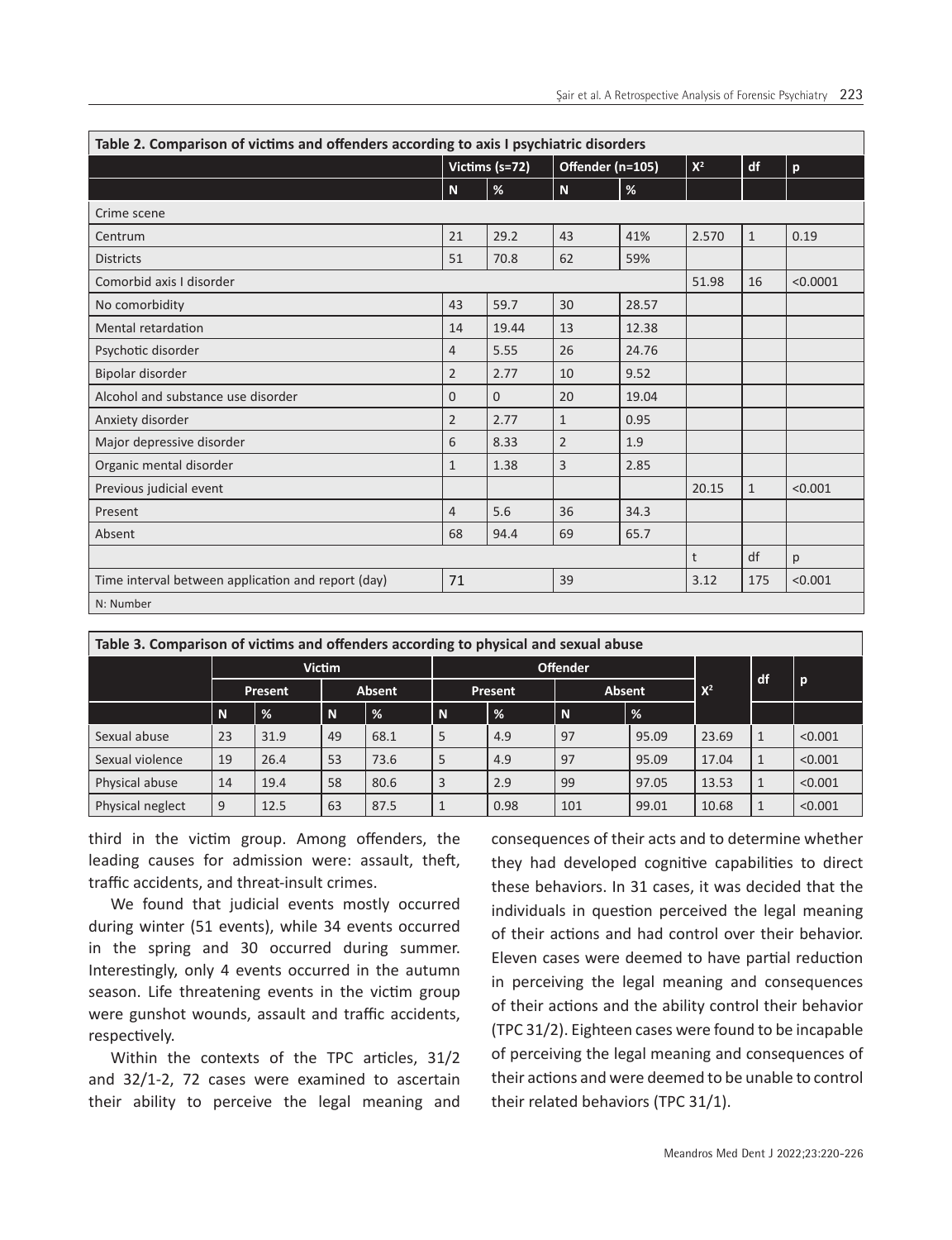| Table 2. Comparison of victims and offenders according to axis I psychiatric disorders |                |                |                |                  |       |              |          |
|----------------------------------------------------------------------------------------|----------------|----------------|----------------|------------------|-------|--------------|----------|
|                                                                                        |                | Victims (s=72) |                | Offender (n=105) | $X^2$ | df           | p        |
|                                                                                        | N.             | $\%$           | $\mathbf N$    | $\%$             |       |              |          |
| Crime scene                                                                            |                |                |                |                  |       |              |          |
| Centrum                                                                                | 21             | 29.2           | 43             | 41%              | 2.570 | $\mathbf{1}$ | 0.19     |
| <b>Districts</b>                                                                       | 51             | 70.8           | 62             | 59%              |       |              |          |
| Comorbid axis I disorder                                                               |                |                |                |                  | 51.98 | 16           | < 0.0001 |
| No comorbidity                                                                         | 43             | 59.7           | 30             | 28.57            |       |              |          |
| Mental retardation                                                                     | 14             | 19.44          | 13             | 12.38            |       |              |          |
| Psychotic disorder                                                                     | 4              | 5.55           | 26             | 24.76            |       |              |          |
| Bipolar disorder                                                                       | $\overline{2}$ | 2.77           | 10             | 9.52             |       |              |          |
| Alcohol and substance use disorder                                                     | 0              | $\overline{0}$ | 20             | 19.04            |       |              |          |
| Anxiety disorder                                                                       | $\overline{2}$ | 2.77           | $\mathbf{1}$   | 0.95             |       |              |          |
| Major depressive disorder                                                              | 6              | 8.33           | $\overline{2}$ | 1.9              |       |              |          |
| Organic mental disorder                                                                | $\mathbf{1}$   | 1.38           | 3              | 2.85             |       |              |          |
| Previous judicial event                                                                |                |                |                |                  | 20.15 | $\mathbf{1}$ | < 0.001  |
| Present                                                                                | 4              | 5.6            | 36             | 34.3             |       |              |          |
| Absent                                                                                 | 68             | 94.4           | 69             | 65.7             |       |              |          |
|                                                                                        |                |                |                |                  | t     | df           | p        |
| Time interval between application and report (day)                                     | 71             | 39             |                |                  | 3.12  | 175          | < 0.001  |
| N: Number                                                                              |                |                |                |                  |       |              |          |

| Table 3. Comparison of victims and offenders according to physical and sexual abuse |               |               |     |                 |   |                |             |               |       |  |         |
|-------------------------------------------------------------------------------------|---------------|---------------|-----|-----------------|---|----------------|-------------|---------------|-------|--|---------|
|                                                                                     | <b>Victim</b> |               |     | <b>Offender</b> |   |                |             |               | df    |  |         |
|                                                                                     |               | Present       |     | <b>Absent</b>   |   | <b>Present</b> |             | <b>Absent</b> |       |  | p       |
|                                                                                     | $\mathbf N$   | $\frac{9}{6}$ | l N | %               | N | $\frac{9}{6}$  | $\mathbf N$ | %             |       |  |         |
| Sexual abuse                                                                        | 23            | 31.9          | 49  | 68.1            | 5 | 4.9            | 97          | 95.09         | 23.69 |  | < 0.001 |
| Sexual violence                                                                     | 19            | 26.4          | 53  | 73.6            | 5 | 4.9            | 97          | 95.09         | 17.04 |  | < 0.001 |
| Physical abuse                                                                      | 14            | 19.4          | 58  | 80.6            | 3 | 2.9            | 99          | 97.05         | 13.53 |  | < 0.001 |
| Physical neglect                                                                    | 9             | 12.5          | 63  | 87.5            |   | 0.98           | 101         | 99.01         | 10.68 |  | < 0.001 |

third in the victim group. Among offenders, the leading causes for admission were: assault, theft, traffic accidents, and threat-insult crimes.

We found that judicial events mostly occurred during winter (51 events), while 34 events occurred in the spring and 30 occurred during summer. Interestingly, only 4 events occurred in the autumn season. Life threatening events in the victim group were gunshot wounds, assault and traffic accidents, respectively.

Within the contexts of the TPC articles, 31/2 and 32/1-2, 72 cases were examined to ascertain their ability to perceive the legal meaning and consequences of their acts and to determine whether they had developed cognitive capabilities to direct these behaviors. In 31 cases, it was decided that the individuals in question perceived the legal meaning of their actions and had control over their behavior. Eleven cases were deemed to have partial reduction in perceiving the legal meaning and consequences of their actions and the ability control their behavior (TPC 31/2). Eighteen cases were found to be incapable of perceiving the legal meaning and consequences of their actions and were deemed to be unable to control their related behaviors (TPC 31/1).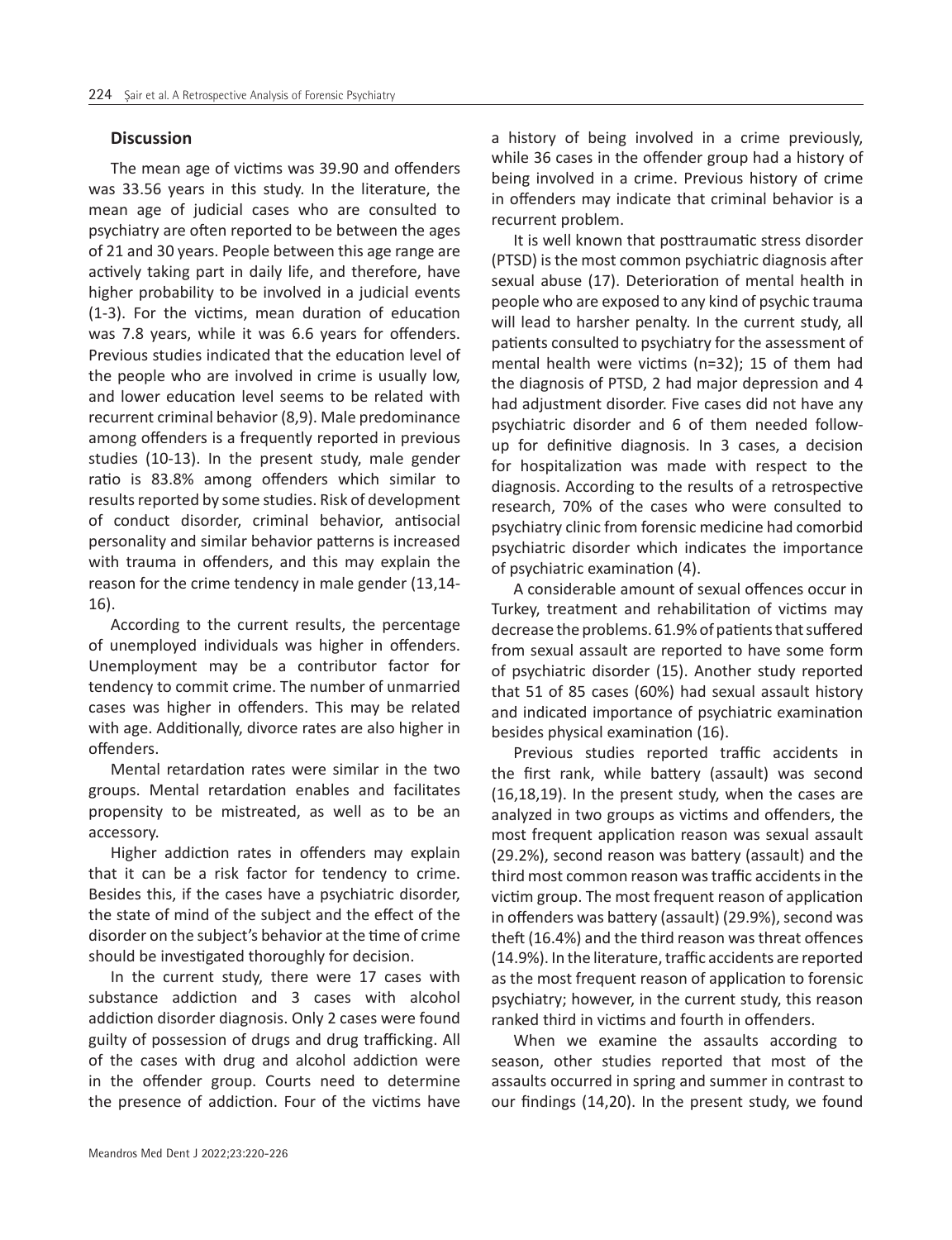## **Discussion**

The mean age of victims was 39.90 and offenders was 33.56 years in this study. In the literature, the mean age of judicial cases who are consulted to psychiatry are often reported to be between the ages of 21 and 30 years. People between this age range are actively taking part in daily life, and therefore, have higher probability to be involved in a judicial events (1-3). For the victims, mean duration of education was 7.8 years, while it was 6.6 years for offenders. Previous studies indicated that the education level of the people who are involved in crime is usually low, and lower education level seems to be related with recurrent criminal behavior (8,9). Male predominance among offenders is a frequently reported in previous studies (10-13). In the present study, male gender ratio is 83.8% among offenders which similar to results reported by some studies. Risk of development of conduct disorder, criminal behavior, antisocial personality and similar behavior patterns is increased with trauma in offenders, and this may explain the reason for the crime tendency in male gender (13,14- 16).

According to the current results, the percentage of unemployed individuals was higher in offenders. Unemployment may be a contributor factor for tendency to commit crime. The number of unmarried cases was higher in offenders. This may be related with age. Additionally, divorce rates are also higher in offenders.

Mental retardation rates were similar in the two groups. Mental retardation enables and facilitates propensity to be mistreated, as well as to be an accessory.

Higher addiction rates in offenders may explain that it can be a risk factor for tendency to crime. Besides this, if the cases have a psychiatric disorder, the state of mind of the subject and the effect of the disorder on the subject's behavior at the time of crime should be investigated thoroughly for decision.

In the current study, there were 17 cases with substance addiction and 3 cases with alcohol addiction disorder diagnosis. Only 2 cases were found guilty of possession of drugs and drug trafficking. All of the cases with drug and alcohol addiction were in the offender group. Courts need to determine the presence of addiction. Four of the victims have

a history of being involved in a crime previously, while 36 cases in the offender group had a history of being involved in a crime. Previous history of crime in offenders may indicate that criminal behavior is a recurrent problem.

It is well known that posttraumatic stress disorder (PTSD) is the most common psychiatric diagnosis after sexual abuse (17). Deterioration of mental health in people who are exposed to any kind of psychic trauma will lead to harsher penalty. In the current study, all patients consulted to psychiatry for the assessment of mental health were victims (n=32); 15 of them had the diagnosis of PTSD, 2 had major depression and 4 had adjustment disorder. Five cases did not have any psychiatric disorder and 6 of them needed followup for definitive diagnosis. In 3 cases, a decision for hospitalization was made with respect to the diagnosis. According to the results of a retrospective research, 70% of the cases who were consulted to psychiatry clinic from forensic medicine had comorbid psychiatric disorder which indicates the importance of psychiatric examination (4).

A considerable amount of sexual offences occur in Turkey, treatment and rehabilitation of victims may decrease the problems. 61.9% of patients that suffered from sexual assault are reported to have some form of psychiatric disorder (15). Another study reported that 51 of 85 cases (60%) had sexual assault history and indicated importance of psychiatric examination besides physical examination (16).

Previous studies reported traffic accidents in the first rank, while battery (assault) was second (16,18,19). In the present study, when the cases are analyzed in two groups as victims and offenders, the most frequent application reason was sexual assault (29.2%), second reason was battery (assault) and the third most common reason was traffic accidents in the victim group. The most frequent reason of application in offenders was battery (assault) (29.9%), second was theft (16.4%) and the third reason was threat offences (14.9%). In the literature, traffic accidents are reported as the most frequent reason of application to forensic psychiatry; however, in the current study, this reason ranked third in victims and fourth in offenders.

When we examine the assaults according to season, other studies reported that most of the assaults occurred in spring and summer in contrast to our findings (14,20). In the present study, we found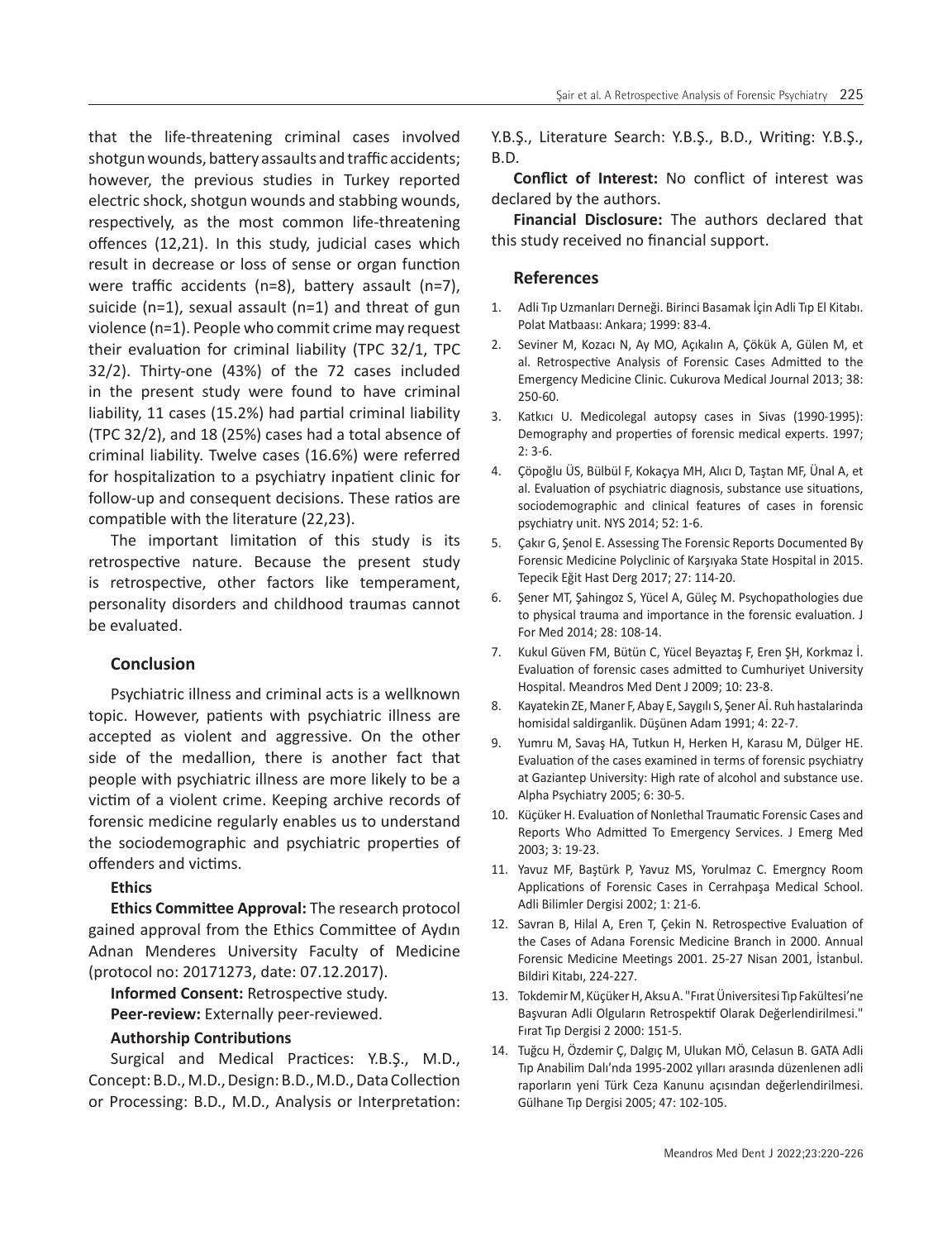that the life-threatening criminal cases involved shotgun wounds, battery assaults and traffic accidents; however, the previous studies in Turkey reported electric shock, shotgun wounds and stabbing wounds, respectively, as the most common life-threatening offences (12,21). In this study, judicial cases which result in decrease or loss of sense or organ function were traffic accidents (n=8), battery assault (n=7), suicide (n=1), sexual assault (n=1) and threat of gun violence (n=1). People who commit crime may request their evaluation for criminal liability (TPC 32/1, TPC 32/2). Thirty-one (43%) of the 72 cases included in the present study were found to have criminal liability, 11 cases (15.2%) had partial criminal liability (TPC 32/2), and 18 (25%) cases had a total absence of criminal liability. Twelve cases (16.6%) were referred for hospitalization to a psychiatry inpatient clinic for follow-up and consequent decisions. These ratios are compatible with the literature (22,23).

The important limitation of this study is its retrospective nature. Because the present study is retrospective, other factors like temperament, personality disorders and childhood traumas cannot be evaluated.

# **Conclusion**

Psychiatric illness and criminal acts is a wellknown topic. However, patients with psychiatric illness are accepted as violent and aggressive. On the other side of the medallion, there is another fact that people with psychiatric illness are more likely to be a victim of a violent crime. Keeping archive records of forensic medicine regularly enables us to understand the sociodemographic and psychiatric properties of offenders and victims.

## **Ethics**

**Ethics Committee Approval:** The research protocol gained approval from the Ethics Committee of Aydın Adnan Menderes University Faculty of Medicine (protocol no: 20171273, date: 07.12.2017).

**Informed Consent:** Retrospective study.

**Peer-review:** Externally peer-reviewed.

## **Authorship Contributions**

Surgical and Medical Practices: Y.B.Ş., M.D., Concept: B.D., M.D., Design: B.D., M.D., Data Collection or Processing: B.D., M.D., Analysis or Interpretation:

Y.B.Ş., Literature Search: Y.B.Ş., B.D., Writing: Y.B.Ş., B.D.

**Conflict of Interest:** No conflict of interest was declared by the authors.

**Financial Disclosure:** The authors declared that this study received no financial support.

## **References**

- 1. Adli Tıp Uzmanları Derneği. Birinci Basamak İçin Adli Tıp El Kitabı. Polat Matbaası: Ankara; 1999: 83-4.
- 2. Seviner M, Kozacı N, Ay MO, Açıkalın A, Çökük A, Gülen M, et al. Retrospective Analysis of Forensic Cases Admitted to the Emergency Medicine Clinic. Cukurova Medical Journal 2013; 38: 250-60.
- 3. Katkıcı U. Medicolegal autopsy cases in Sivas (1990-1995): Demography and properties of forensic medical experts. 1997; 2: 3-6.
- 4. Çöpoğlu ÜS, Bülbül F, Kokaçya MH, Alıcı D, Taştan MF, Ünal A, et al. Evaluation of psychiatric diagnosis, substance use situations, sociodemographic and clinical features of cases in forensic psychiatry unit. NYS 2014; 52: 1-6.
- 5. Çakır G, Şenol E. Assessing The Forensic Reports Documented By Forensic Medicine Polyclinic of Karşıyaka State Hospital in 2015. Tepecik Eğit Hast Derg 2017; 27: 114-20.
- 6. Şener MT, Şahingoz S, Yücel A, Güleç M. Psychopathologies due to physical trauma and importance in the forensic evaluation. J For Med 2014; 28: 108-14.
- 7. Kukul Güven FM, Bütün C, Yücel Beyaztaş F, Eren ŞH, Korkmaz İ. Evaluation of forensic cases admitted to Cumhuriyet University Hospital. Meandros Med Dent J 2009; 10: 23-8.
- 8. Kayatekin ZE, Maner F, Abay E, Saygılı S, Şener Aİ. Ruh hastalarinda homisidal saldirganlik. Düşünen Adam 1991; 4: 22-7.
- 9. Yumru M, Savaş HA, Tutkun H, Herken H, Karasu M, Dülger HE. Evaluation of the cases examined in terms of forensic psychiatry at Gaziantep University: High rate of alcohol and substance use. Alpha Psychiatry 2005; 6: 30-5.
- 10. Küçüker H. Evaluation of Nonlethal Traumatic Forensic Cases and Reports Who Admitted To Emergency Services. J Emerg Med 2003; 3: 19-23.
- 11. Yavuz MF, Baştürk P, Yavuz MS, Yorulmaz C. Emergncy Room Applications of Forensic Cases in Cerrahpaşa Medical School. Adli Bilimler Dergisi 2002; 1: 21-6.
- 12. Savran B, Hilal A, Eren T, Çekin N. Retrospective Evaluation of the Cases of Adana Forensic Medicine Branch in 2000. Annual Forensic Medicine Meetings 2001. 25-27 Nisan 2001, İstanbul. Bildiri Kitabı, 224-227.
- 13. Tokdemir M, Küçüker H, Aksu A. "Fırat Üniversitesi Tıp Fakültesi'ne Başvuran Adli Olguların Retrospektif Olarak Değerlendirilmesi." Fırat Tıp Dergisi 2 2000: 151-5.
- 14. Tuğcu H, Özdemir Ç, Dalgıç M, Ulukan MÖ, Celasun B. GATA Adli Tıp Anabilim Dalı'nda 1995-2002 yılları arasında düzenlenen adli raporların yeni Türk Ceza Kanunu açısından değerlendirilmesi. Gülhane Tıp Dergisi 2005; 47: 102-105.